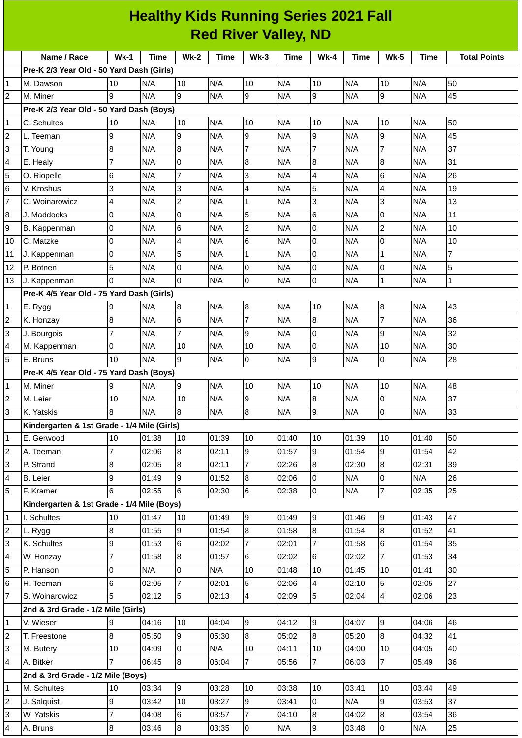| <b>Healthy Kids Running Series 2021 Fall</b> |                                             |                 |             |                |       |                  |             |                 |             |                |             |                     |
|----------------------------------------------|---------------------------------------------|-----------------|-------------|----------------|-------|------------------|-------------|-----------------|-------------|----------------|-------------|---------------------|
|                                              | <b>Red River Valley, ND</b>                 |                 |             |                |       |                  |             |                 |             |                |             |                     |
|                                              | Name / Race                                 | $Wk-1$          | <b>Time</b> | $Wk-2$         | Time  | $Wk-3$           | <b>Time</b> | $Wk-4$          | <b>Time</b> | <b>Wk-5</b>    | <b>Time</b> | <b>Total Points</b> |
|                                              | Pre-K 2/3 Year Old - 50 Yard Dash (Girls)   |                 |             |                |       |                  |             |                 |             |                |             |                     |
| 1                                            | M. Dawson                                   | 10              | N/A         | 10             | N/A   | 10               | N/A         | 10              | N/A         | 10             | N/A         | 50                  |
| $\overline{c}$                               | M. Miner                                    | 9               | N/A         | 9              | N/A   | 9                | N/A         | 9               | N/A         | 9              | N/A         | 45                  |
|                                              | Pre-K 2/3 Year Old - 50 Yard Dash (Boys)    |                 |             |                |       |                  |             |                 |             |                |             |                     |
| 1                                            | C. Schultes                                 | 10              | N/A         | 10             | N/A   | 10               | N/A         | 10              | N/A         | 10             | N/A         | 50                  |
| 2                                            | L. Teeman                                   | 9               | N/A         | 9              | N/A   | 9                | N/A         | 9               | N/A         | 9              | N/A         | 45                  |
| 3                                            | T. Young                                    | 8               | N/A         | 8              | N/A   | 7                | N/A         | $\overline{7}$  | N/A         | $\overline{7}$ | N/A         | 37                  |
| 4                                            | E. Healy                                    | $\overline{7}$  | N/A         | $\mathbf 0$    | N/A   | 8                | N/A         | 8               | N/A         | 8              | N/A         | 31                  |
| 5                                            | O. Riopelle                                 | $6\phantom{.}6$ | N/A         | $\overline{7}$ | N/A   | 3                | N/A         | $\overline{4}$  | N/A         | 6              | N/A         | 26                  |
| 6                                            | V. Kroshus                                  | 3               | N/A         | 3              | N/A   | 4                | N/A         | 5               | N/A         | 4              | N/A         | 19                  |
| 7                                            | C. Woinarowicz                              | 4               | N/A         | $\overline{c}$ | N/A   | 1                | N/A         | 3               | N/A         | 3              | N/A         | 13                  |
| 8                                            | J. Maddocks                                 | $\overline{0}$  | N/A         | $\mathbf 0$    | N/A   | 5                | N/A         | $6\phantom{1}6$ | N/A         | 0              | N/A         | 11                  |
| 9                                            | B. Kappenman                                | 0               | N/A         | 6              | N/A   | $\overline{c}$   | N/A         | 0               | N/A         | $\overline{c}$ | N/A         | 10                  |
| 10                                           | C. Matzke                                   | $\overline{0}$  | N/A         | 4              | N/A   | 6                | N/A         | $\mathbf 0$     | N/A         | 0              | N/A         | 10                  |
| 11                                           | J. Kappenman                                | $\overline{0}$  | N/A         | 5              | N/A   | 1                | N/A         | $\overline{0}$  | N/A         | $\mathbf{1}$   | N/A         | $\overline{7}$      |
| 12                                           | P. Botnen                                   | 5               | N/A         | 0              | N/A   | 0                | N/A         | $\mathsf 0$     | N/A         | 0              | N/A         | 5                   |
| 13                                           | J. Kappenman                                | 0               | N/A         | $\Omega$       | N/A   | $\overline{0}$   | N/A         | $\overline{0}$  | N/A         | $\mathbf{1}$   | N/A         | 1                   |
|                                              | Pre-K 4/5 Year Old - 75 Yard Dash (Girls)   |                 |             |                |       |                  |             |                 |             |                |             |                     |
| 1                                            | E. Rygg                                     | 9               | N/A         | $\bf{8}$       | N/A   | $\boldsymbol{8}$ | N/A         | 10              | N/A         | 8              | N/A         | 43                  |
| 2                                            | K. Honzay                                   | 8               | N/A         | 6              | N/A   | $\overline{7}$   | N/A         | $\bf{8}$        | N/A         | $\overline{7}$ | N/A         | 36                  |
| 3                                            | J. Bourgois                                 | 7               | N/A         | $\overline{7}$ | N/A   | 9                | N/A         | 0               | N/A         | 9              | N/A         | 32                  |
| 4                                            | M. Kappenman                                | 0               | N/A         | 10             | N/A   | 10               | N/A         | $\mathbf 0$     | N/A         | 10             | N/A         | 30                  |
| 5                                            | E. Bruns                                    | 10              | N/A         | 9              | N/A   | 0                | N/A         | 9               | N/A         | 0              | N/A         | 28                  |
|                                              | Pre-K 4/5 Year Old - 75 Yard Dash (Boys)    |                 |             |                |       |                  |             |                 |             |                |             |                     |
| 1                                            | M. Miner                                    | 9               | N/A         | 9              | N/A   | 10               | N/A         | 10              | N/A         | 10             | N/A         | 48                  |
| $\overline{c}$                               | M. Leier                                    | 10              | N/A         | $10\,$         | N/A   | 9                | N/A         | $\,8\,$         | N/A         | $\mathbf 0$    | N/A         | 37                  |
| 3                                            | K. Yatskis                                  | 8               | N/A         | 8              | N/A   | 8                | N/A         | 9               | N/A         | 0              | N/A         | 33                  |
|                                              | Kindergarten & 1st Grade - 1/4 Mile (Girls) |                 |             |                |       |                  |             |                 |             |                |             |                     |
| 1                                            | E. Gerwood                                  | 10              | 01:38       | 10             | 01:39 | 10               | 01:40       | 10              | 01:39       | 10             | 01:40       | 50                  |
| 2                                            | A. Teeman                                   | $\overline{7}$  | 02:06       | $8\,$          | 02:11 | 9                | 01:57       | 9               | 01:54       | 9              | 01:54       | 42                  |
| 3                                            | P. Strand                                   | 8               | 02:05       | 8              | 02:11 | 7                | 02:26       | 8               | 02:30       | 8              | 02:31       | 39                  |
| 4                                            | <b>B.</b> Leier                             | 9               | 01:49       | 9              | 01:52 | 8                | 02:06       | 0               | N/A         | 0              | N/A         | 26                  |
| 5                                            | F. Kramer                                   | 6               | 02:55       | 6              | 02:30 | $6\phantom{.}$   | 02:38       | l0              | N/A         | $\overline{7}$ | 02:35       | 25                  |
|                                              | Kindergarten & 1st Grade - 1/4 Mile (Boys)  |                 |             |                |       |                  |             |                 |             |                |             |                     |
| 1                                            | I. Schultes                                 | 10              | 01:47       | 10             | 01:49 | 9                | 01:49       | 9               | 01:46       | 9              | 01:43       | 47                  |
| $\overline{c}$                               | L. Rygg                                     | 8               | 01:55       | 9              | 01:54 | 8                | 01:58       | 8               | 01:54       | 8              | 01:52       | 41                  |
| 3                                            | K. Schultes                                 | 9               | 01:53       | 6              | 02:02 | $\overline{7}$   | 02:01       | $\overline{7}$  | 01:58       | 6              | 01:54       | 35                  |
| 4                                            | W. Honzay                                   | $\overline{7}$  | 01:58       | 8              | 01:57 | 6                | 02:02       | 6               | 02:02       | $\overline{7}$ | 01:53       | 34                  |
| 5                                            | P. Hanson                                   | 0               | N/A         | 0              | N/A   | 10               | 01:48       | 10              | 01:45       | 10             | 01:41       | 30                  |
| 6                                            | H. Teeman                                   | 6               | 02:05       | $\overline{7}$ | 02:01 | 5                | 02:06       | 4               | 02:10       | 5              | 02:05       | 27                  |
| 7                                            | S. Woinarowicz                              | 5               | 02:12       | 5              | 02:13 | 4                | 02:09       | 5               | 02:04       | 4              | 02:06       | 23                  |
|                                              | 2nd & 3rd Grade - 1/2 Mile (Girls)          |                 |             |                |       |                  |             |                 |             |                |             |                     |
| 1                                            | V. Wieser                                   | 9               | 04:16       | 10             | 04:04 | 9                | 04:12       | 9               | 04:07       | 9              | 04:06       | 46                  |
| 2                                            | T. Freestone                                | 8               | 05:50       | 9              | 05:30 | 8                | 05:02       | 8               | 05:20       | 8              | 04:32       | 41                  |
| 3                                            | M. Butery                                   | 10              | 04:09       | $\overline{0}$ | N/A   | 10               | 04:11       | 10              | 04:00       | 10             | 04:05       | 40                  |
| 4                                            | A. Bitker                                   |                 | 06:45       | $8\,$          | 06:04 | 7                | 05:56       | $\overline{7}$  | 06:03       | $\overline{7}$ | 05:49       | 36                  |
|                                              | 2nd & 3rd Grade - 1/2 Mile (Boys)           |                 |             |                |       |                  |             |                 |             |                |             |                     |
| 1                                            | M. Schultes                                 | 10              | 03:34       | 9              | 03:28 | 10               | 03:38       | 10              | 03:41       | 10             | 03:44       | 49                  |
| 2                                            | J. Salquist                                 | 9               | 03:42       | $10\,$         | 03:27 | 9                | 03:41       | l0              | N/A         | 9              | 03:53       | 37                  |
| 3                                            | W. Yatskis                                  | 7               | 04:08       | 6              | 03:57 | 7                | 04:10       | 8               | 04:02       | 8              | 03:54       | 36                  |
| 4                                            | A. Bruns                                    | $\overline{8}$  | 03:46       | 8              | 03:35 | l0               | N/A         | 9               | 03:48       | 0              | N/A         | 25                  |